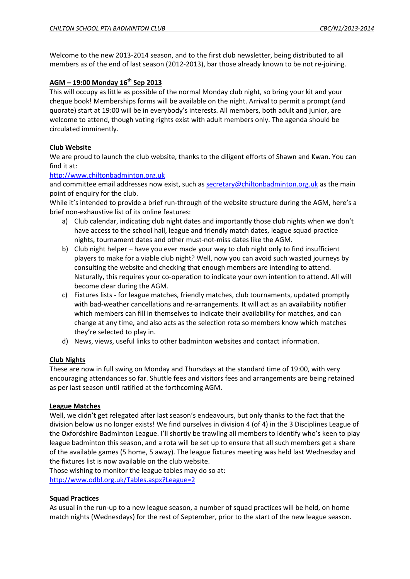Welcome to the new 2013‐2014 season, and to the first club newsletter, being distributed to all members as of the end of last season (2012-2013), bar those already known to be not re-joining.

# **AGM – 19:00 Monday 16th Sep 2013**

This will occupy as little as possible of the normal Monday club night, so bring your kit and your cheque book! Memberships forms will be available on the night. Arrival to permit a prompt (and quorate) start at 19:00 will be in everybody's interests. All members, both adult and junior, are welcome to attend, though voting rights exist with adult members only. The agenda should be circulated imminently.

# **Club Website**

We are proud to launch the club website, thanks to the diligent efforts of Shawn and Kwan. You can find it at:

#### http://www.chiltonbadminton.org.uk

and committee email addresses now exist, such as secretary@chiltonbadminton.org.uk as the main point of enquiry for the club.

While it's intended to provide a brief run-through of the website structure during the AGM, here's a brief non‐exhaustive list of its online features:

- a) Club calendar, indicating club night dates and importantly those club nights when we don't have access to the school hall, league and friendly match dates, league squad practice nights, tournament dates and other must‐not‐miss dates like the AGM.
- b) Club night helper have you ever made your way to club night only to find insufficient players to make for a viable club night? Well, now you can avoid such wasted journeys by consulting the website and checking that enough members are intending to attend. Naturally, this requires your co‐operation to indicate your own intention to attend. All will become clear during the AGM.
- c) Fixtures lists ‐ for league matches, friendly matches, club tournaments, updated promptly with bad-weather cancellations and re-arrangements. It will act as an availability notifier which members can fill in themselves to indicate their availability for matches, and can change at any time, and also acts as the selection rota so members know which matches they're selected to play in.
- d) News, views, useful links to other badminton websites and contact information.

#### **Club Nights**

These are now in full swing on Monday and Thursdays at the standard time of 19:00, with very encouraging attendances so far. Shuttle fees and visitors fees and arrangements are being retained as per last season until ratified at the forthcoming AGM.

#### **League Matches**

Well, we didn't get relegated after last season's endeavours, but only thanks to the fact that the division below us no longer exists! We find ourselves in division 4 (of 4) in the 3 Disciplines League of the Oxfordshire Badminton League. I'll shortly be trawling all members to identify who's keen to play league badminton this season, and a rota will be set up to ensure that all such members get a share of the available games (5 home, 5 away). The league fixtures meeting was held last Wednesday and the fixtures list is now available on the club website.

Those wishing to monitor the league tables may do so at: http://www.odbl.org.uk/Tables.aspx?League=2

#### **Squad Practices**

As usual in the run-up to a new league season, a number of squad practices will be held, on home match nights (Wednesdays) for the rest of September, prior to the start of the new league season.